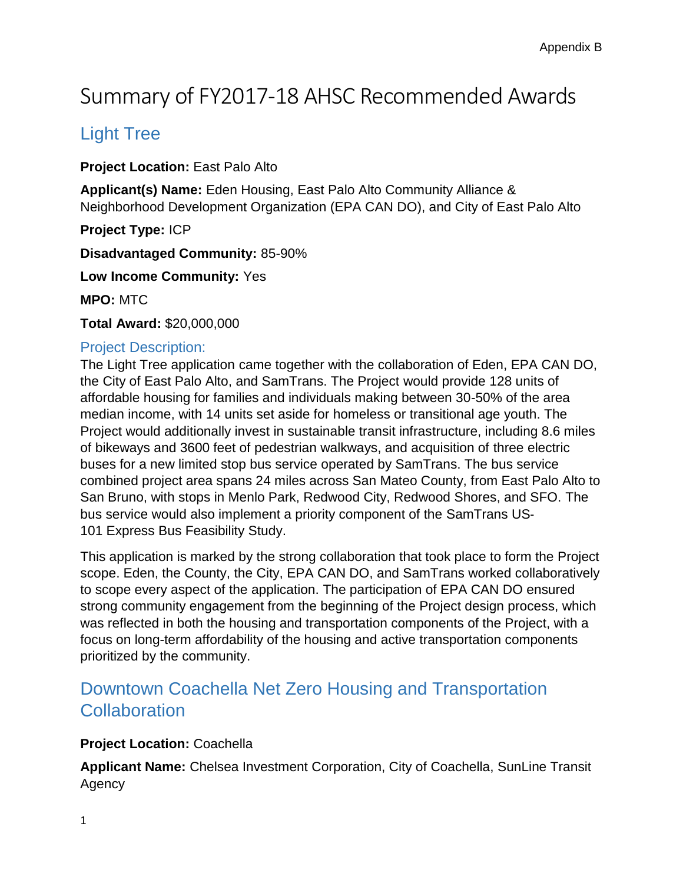# Summary of FY2017-18 AHSC Recommended Awards

### Light Tree

**Project Location:** East Palo Alto

**Applicant(s) Name:** Eden Housing, East Palo Alto Community Alliance & Neighborhood Development Organization (EPA CAN DO), and City of East Palo Alto

**Project Type:** ICP

**Disadvantaged Community:** 85-90%

**Low Income Community:** Yes

**MPO:** MTC

**Total Award:** \$20,000,000

#### Project Description:

The Light Tree application came together with the collaboration of Eden, EPA CAN DO, the City of East Palo Alto, and SamTrans. The Project would provide 128 units of affordable housing for families and individuals making between 30-50% of the area median income, with 14 units set aside for homeless or transitional age youth. The Project would additionally invest in sustainable transit infrastructure, including 8.6 miles of bikeways and 3600 feet of pedestrian walkways, and acquisition of three electric buses for a new limited stop bus service operated by SamTrans. The bus service combined project area spans 24 miles across San Mateo County, from East Palo Alto to San Bruno, with stops in Menlo Park, Redwood City, Redwood Shores, and SFO. The bus service would also implement a priority component of the SamTrans US‐ 101 Express Bus Feasibility Study.

This application is marked by the strong collaboration that took place to form the Project scope. Eden, the County, the City, EPA CAN DO, and SamTrans worked collaboratively to scope every aspect of the application. The participation of EPA CAN DO ensured strong community engagement from the beginning of the Project design process, which was reflected in both the housing and transportation components of the Project, with a focus on long-term affordability of the housing and active transportation components prioritized by the community.

### Downtown Coachella Net Zero Housing and Transportation **Collaboration**

#### **Project Location:** Coachella

**Applicant Name:** Chelsea Investment Corporation, City of Coachella, SunLine Transit Agency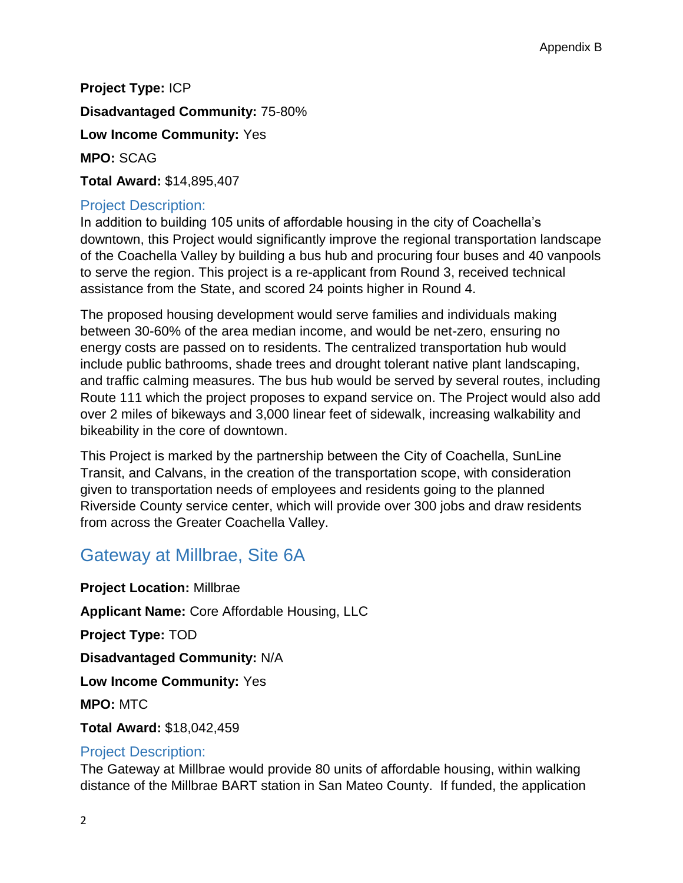**Project Type:** ICP

**Disadvantaged Community:** 75-80%

**Low Income Community:** Yes

**MPO:** SCAG

**Total Award:** \$14,895,407

#### Project Description:

In addition to building 105 units of affordable housing in the city of Coachella's downtown, this Project would significantly improve the regional transportation landscape of the Coachella Valley by building a bus hub and procuring four buses and 40 vanpools to serve the region. This project is a re-applicant from Round 3, received technical assistance from the State, and scored 24 points higher in Round 4.

The proposed housing development would serve families and individuals making between 30-60% of the area median income, and would be net-zero, ensuring no energy costs are passed on to residents. The centralized transportation hub would include public bathrooms, shade trees and drought tolerant native plant landscaping, and traffic calming measures. The bus hub would be served by several routes, including Route 111 which the project proposes to expand service on. The Project would also add over 2 miles of bikeways and 3,000 linear feet of sidewalk, increasing walkability and bikeability in the core of downtown.

This Project is marked by the partnership between the City of Coachella, SunLine Transit, and Calvans, in the creation of the transportation scope, with consideration given to transportation needs of employees and residents going to the planned Riverside County service center, which will provide over 300 jobs and draw residents from across the Greater Coachella Valley.

### Gateway at Millbrae, Site 6A

**Project Location:** Millbrae **Applicant Name:** Core Affordable Housing, LLC **Project Type:** TOD **Disadvantaged Community:** N/A **Low Income Community:** Yes **MPO:** MTC **Total Award:** \$18,042,459

### Project Description:

The Gateway at Millbrae would provide 80 units of affordable housing, within walking distance of the Millbrae BART station in San Mateo County. If funded, the application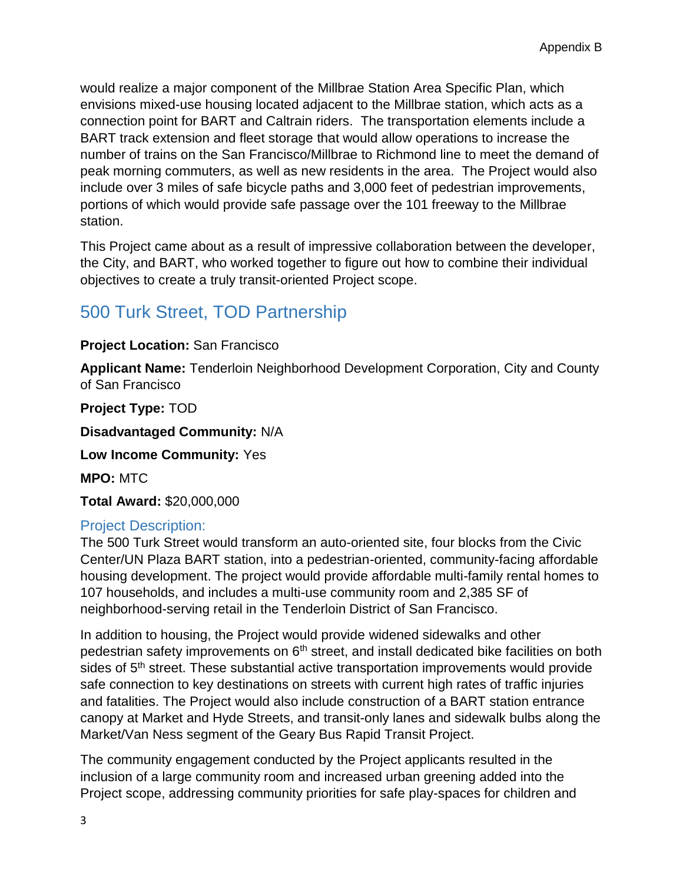would realize a major component of the Millbrae Station Area Specific Plan, which envisions mixed-use housing located adjacent to the Millbrae station, which acts as a connection point for BART and Caltrain riders. The transportation elements include a BART track extension and fleet storage that would allow operations to increase the number of trains on the San Francisco/Millbrae to Richmond line to meet the demand of peak morning commuters, as well as new residents in the area. The Project would also include over 3 miles of safe bicycle paths and 3,000 feet of pedestrian improvements, portions of which would provide safe passage over the 101 freeway to the Millbrae station.

This Project came about as a result of impressive collaboration between the developer, the City, and BART, who worked together to figure out how to combine their individual objectives to create a truly transit-oriented Project scope.

# 500 Turk Street, TOD Partnership

#### **Project Location:** San Francisco

**Applicant Name:** Tenderloin Neighborhood Development Corporation, City and County of San Francisco

**Project Type:** TOD

**Disadvantaged Community:** N/A

**Low Income Community:** Yes

**MPO:** MTC

**Total Award:** \$20,000,000

#### Project Description:

The 500 Turk Street would transform an auto-oriented site, four blocks from the Civic Center/UN Plaza BART station, into a pedestrian-oriented, community-facing affordable housing development. The project would provide affordable multi-family rental homes to 107 households, and includes a multi-use community room and 2,385 SF of neighborhood-serving retail in the Tenderloin District of San Francisco.

In addition to housing, the Project would provide widened sidewalks and other pedestrian safety improvements on 6<sup>th</sup> street, and install dedicated bike facilities on both sides of 5<sup>th</sup> street. These substantial active transportation improvements would provide safe connection to key destinations on streets with current high rates of traffic injuries and fatalities. The Project would also include construction of a BART station entrance canopy at Market and Hyde Streets, and transit-only lanes and sidewalk bulbs along the Market/Van Ness segment of the Geary Bus Rapid Transit Project.

The community engagement conducted by the Project applicants resulted in the inclusion of a large community room and increased urban greening added into the Project scope, addressing community priorities for safe play-spaces for children and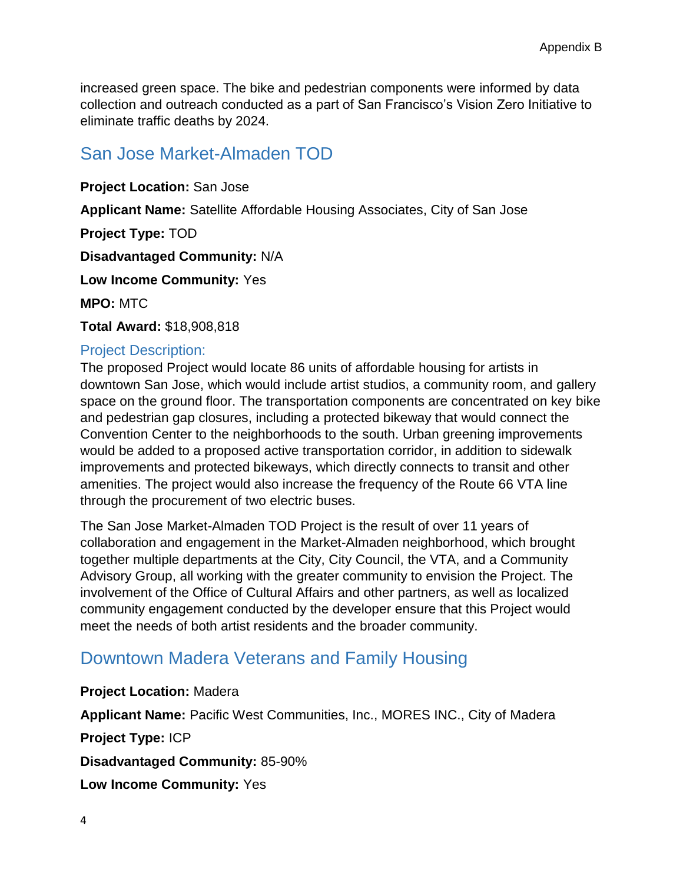increased green space. The bike and pedestrian components were informed by data collection and outreach conducted as a part of San Francisco's Vision Zero Initiative to eliminate traffic deaths by 2024.

# San Jose Market-Almaden TOD

**Project Location:** San Jose **Applicant Name:** Satellite Affordable Housing Associates, City of San Jose **Project Type:** TOD **Disadvantaged Community:** N/A **Low Income Community:** Yes **MPO:** MTC **Total Award:** \$18,908,818

#### Project Description:

The proposed Project would locate 86 units of affordable housing for artists in downtown San Jose, which would include artist studios, a community room, and gallery space on the ground floor. The transportation components are concentrated on key bike and pedestrian gap closures, including a protected bikeway that would connect the Convention Center to the neighborhoods to the south. Urban greening improvements would be added to a proposed active transportation corridor, in addition to sidewalk improvements and protected bikeways, which directly connects to transit and other amenities. The project would also increase the frequency of the Route 66 VTA line through the procurement of two electric buses.

The San Jose Market-Almaden TOD Project is the result of over 11 years of collaboration and engagement in the Market-Almaden neighborhood, which brought together multiple departments at the City, City Council, the VTA, and a Community Advisory Group, all working with the greater community to envision the Project. The involvement of the Office of Cultural Affairs and other partners, as well as localized community engagement conducted by the developer ensure that this Project would meet the needs of both artist residents and the broader community.

### Downtown Madera Veterans and Family Housing

#### **Project Location:** Madera

**Applicant Name:** Pacific West Communities, Inc., MORES INC., City of Madera

**Project Type:** ICP

**Disadvantaged Community:** 85-90%

**Low Income Community:** Yes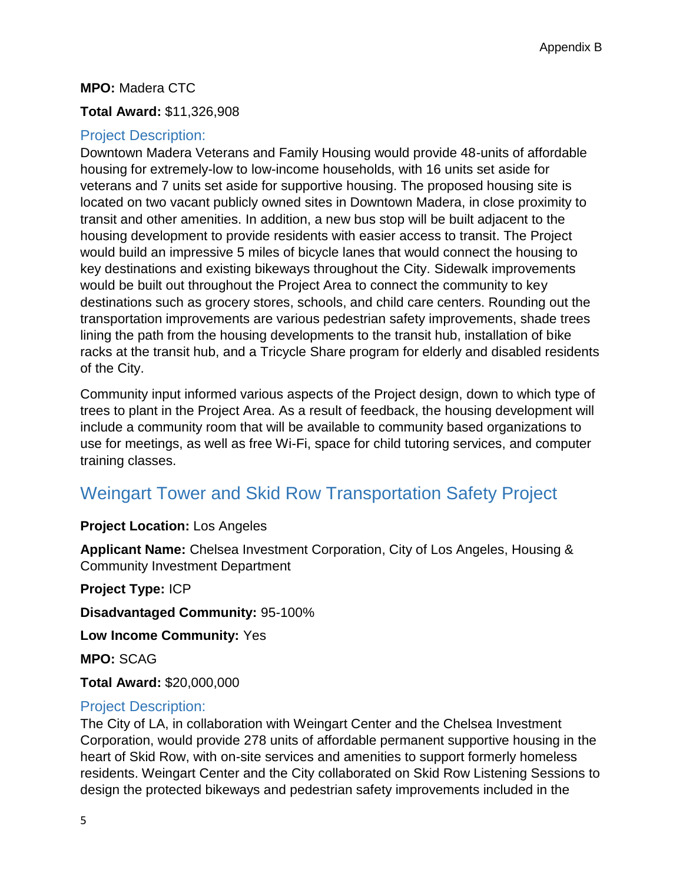#### **MPO:** Madera CTC

#### **Total Award:** \$11,326,908

#### Project Description:

Downtown Madera Veterans and Family Housing would provide 48-units of affordable housing for extremely-low to low-income households, with 16 units set aside for veterans and 7 units set aside for supportive housing. The proposed housing site is located on two vacant publicly owned sites in Downtown Madera, in close proximity to transit and other amenities. In addition, a new bus stop will be built adjacent to the housing development to provide residents with easier access to transit. The Project would build an impressive 5 miles of bicycle lanes that would connect the housing to key destinations and existing bikeways throughout the City. Sidewalk improvements would be built out throughout the Project Area to connect the community to key destinations such as grocery stores, schools, and child care centers. Rounding out the transportation improvements are various pedestrian safety improvements, shade trees lining the path from the housing developments to the transit hub, installation of bike racks at the transit hub, and a Tricycle Share program for elderly and disabled residents of the City.

Community input informed various aspects of the Project design, down to which type of trees to plant in the Project Area. As a result of feedback, the housing development will include a community room that will be available to community based organizations to use for meetings, as well as free Wi-Fi, space for child tutoring services, and computer training classes.

# Weingart Tower and Skid Row Transportation Safety Project

#### **Project Location:** Los Angeles

**Applicant Name:** Chelsea Investment Corporation, City of Los Angeles, Housing & Community Investment Department

**Project Type:** ICP

**Disadvantaged Community:** 95-100%

**Low Income Community:** Yes

**MPO:** SCAG

**Total Award:** \$20,000,000

#### Project Description:

The City of LA, in collaboration with Weingart Center and the Chelsea Investment Corporation, would provide 278 units of affordable permanent supportive housing in the heart of Skid Row, with on-site services and amenities to support formerly homeless residents. Weingart Center and the City collaborated on Skid Row Listening Sessions to design the protected bikeways and pedestrian safety improvements included in the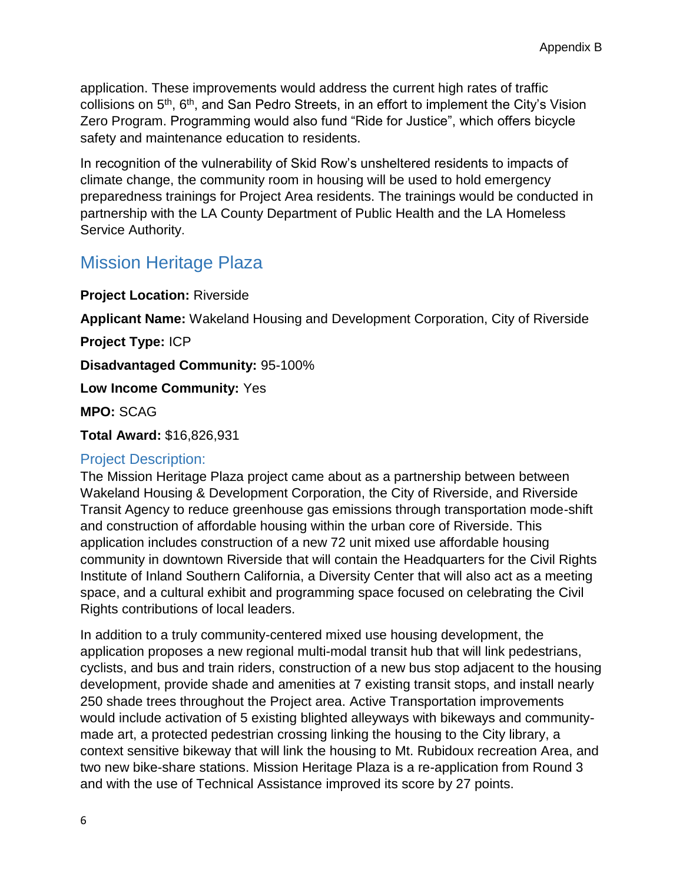application. These improvements would address the current high rates of traffic collisions on 5th, 6th, and San Pedro Streets, in an effort to implement the City's Vision Zero Program. Programming would also fund "Ride for Justice", which offers bicycle safety and maintenance education to residents.

In recognition of the vulnerability of Skid Row's unsheltered residents to impacts of climate change, the community room in housing will be used to hold emergency preparedness trainings for Project Area residents. The trainings would be conducted in partnership with the LA County Department of Public Health and the LA Homeless Service Authority.

### Mission Heritage Plaza

**Project Location:** Riverside

**Applicant Name:** Wakeland Housing and Development Corporation, City of Riverside

**Project Type:** ICP

**Disadvantaged Community:** 95-100%

**Low Income Community:** Yes

**MPO:** SCAG

**Total Award:** \$16,826,931

#### Project Description:

The Mission Heritage Plaza project came about as a partnership between between Wakeland Housing & Development Corporation, the City of Riverside, and Riverside Transit Agency to reduce greenhouse gas emissions through transportation mode-shift and construction of affordable housing within the urban core of Riverside. This application includes construction of a new 72 unit mixed use affordable housing community in downtown Riverside that will contain the Headquarters for the Civil Rights Institute of Inland Southern California, a Diversity Center that will also act as a meeting space, and a cultural exhibit and programming space focused on celebrating the Civil Rights contributions of local leaders.

In addition to a truly community-centered mixed use housing development, the application proposes a new regional multi-modal transit hub that will link pedestrians, cyclists, and bus and train riders, construction of a new bus stop adjacent to the housing development, provide shade and amenities at 7 existing transit stops, and install nearly 250 shade trees throughout the Project area. Active Transportation improvements would include activation of 5 existing blighted alleyways with bikeways and communitymade art, a protected pedestrian crossing linking the housing to the City library, a context sensitive bikeway that will link the housing to Mt. Rubidoux recreation Area, and two new bike-share stations. Mission Heritage Plaza is a re-application from Round 3 and with the use of Technical Assistance improved its score by 27 points.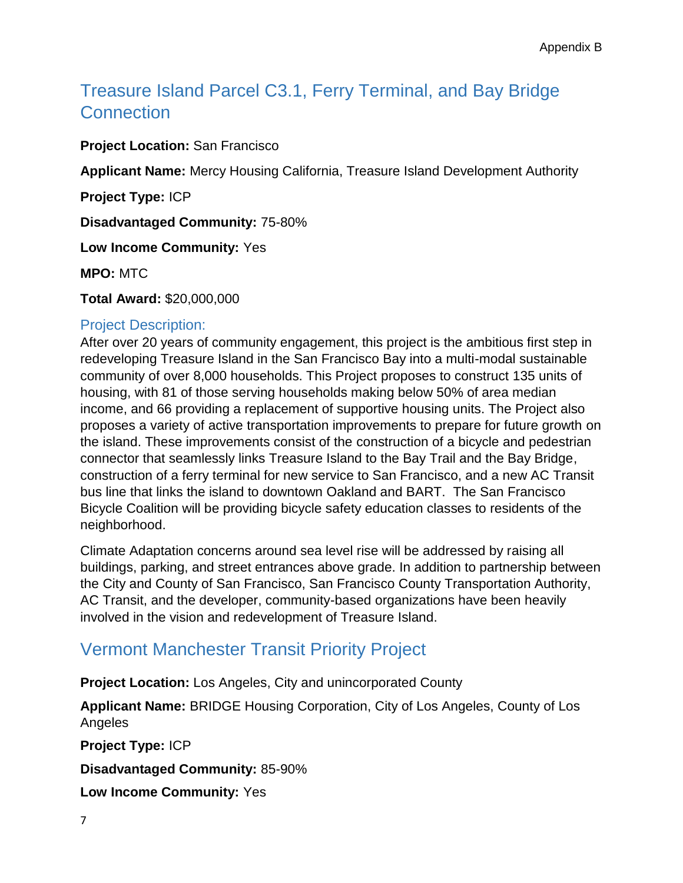# Treasure Island Parcel C3.1, Ferry Terminal, and Bay Bridge **Connection**

**Project Location:** San Francisco

**Applicant Name:** Mercy Housing California, Treasure Island Development Authority

**Project Type:** ICP

**Disadvantaged Community:** 75-80%

**Low Income Community:** Yes

**MPO:** MTC

**Total Award:** \$20,000,000

#### Project Description:

After over 20 years of community engagement, this project is the ambitious first step in redeveloping Treasure Island in the San Francisco Bay into a multi-modal sustainable community of over 8,000 households. This Project proposes to construct 135 units of housing, with 81 of those serving households making below 50% of area median income, and 66 providing a replacement of supportive housing units. The Project also proposes a variety of active transportation improvements to prepare for future growth on the island. These improvements consist of the construction of a bicycle and pedestrian connector that seamlessly links Treasure Island to the Bay Trail and the Bay Bridge, construction of a ferry terminal for new service to San Francisco, and a new AC Transit bus line that links the island to downtown Oakland and BART. The San Francisco Bicycle Coalition will be providing bicycle safety education classes to residents of the neighborhood.

Climate Adaptation concerns around sea level rise will be addressed by raising all buildings, parking, and street entrances above grade. In addition to partnership between the City and County of San Francisco, San Francisco County Transportation Authority, AC Transit, and the developer, community-based organizations have been heavily involved in the vision and redevelopment of Treasure Island.

# Vermont Manchester Transit Priority Project

**Project Location:** Los Angeles, City and unincorporated County

**Applicant Name:** BRIDGE Housing Corporation, City of Los Angeles, County of Los Angeles

**Project Type:** ICP

**Disadvantaged Community:** 85-90%

**Low Income Community:** Yes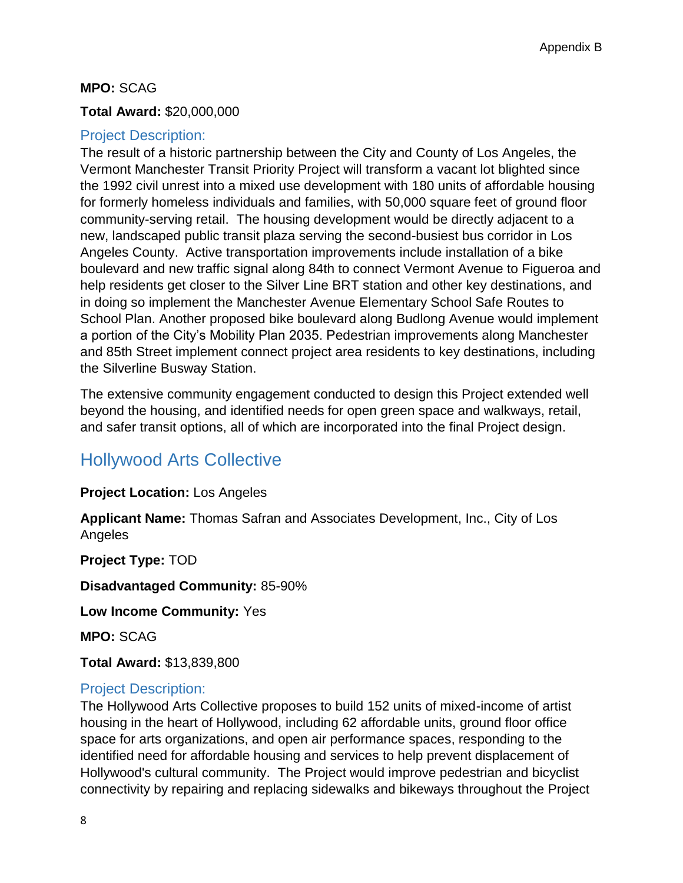#### **MPO:** SCAG

#### **Total Award:** \$20,000,000

#### Project Description:

The result of a historic partnership between the City and County of Los Angeles, the Vermont Manchester Transit Priority Project will transform a vacant lot blighted since the 1992 civil unrest into a mixed use development with 180 units of affordable housing for formerly homeless individuals and families, with 50,000 square feet of ground floor community-serving retail. The housing development would be directly adjacent to a new, landscaped public transit plaza serving the second-busiest bus corridor in Los Angeles County. Active transportation improvements include installation of a bike boulevard and new traffic signal along 84th to connect Vermont Avenue to Figueroa and help residents get closer to the Silver Line BRT station and other key destinations, and in doing so implement the Manchester Avenue Elementary School Safe Routes to School Plan. Another proposed bike boulevard along Budlong Avenue would implement a portion of the City's Mobility Plan 2035. Pedestrian improvements along Manchester and 85th Street implement connect project area residents to key destinations, including the Silverline Busway Station.

The extensive community engagement conducted to design this Project extended well beyond the housing, and identified needs for open green space and walkways, retail, and safer transit options, all of which are incorporated into the final Project design.

### Hollywood Arts Collective

**Project Location:** Los Angeles

**Applicant Name:** Thomas Safran and Associates Development, Inc., City of Los Angeles

**Project Type:** TOD

**Disadvantaged Community:** 85-90%

**Low Income Community:** Yes

**MPO:** SCAG

**Total Award:** \$13,839,800

#### Project Description:

The Hollywood Arts Collective proposes to build 152 units of mixed-income of artist housing in the heart of Hollywood, including 62 affordable units, ground floor office space for arts organizations, and open air performance spaces, responding to the identified need for affordable housing and services to help prevent displacement of Hollywood's cultural community. The Project would improve pedestrian and bicyclist connectivity by repairing and replacing sidewalks and bikeways throughout the Project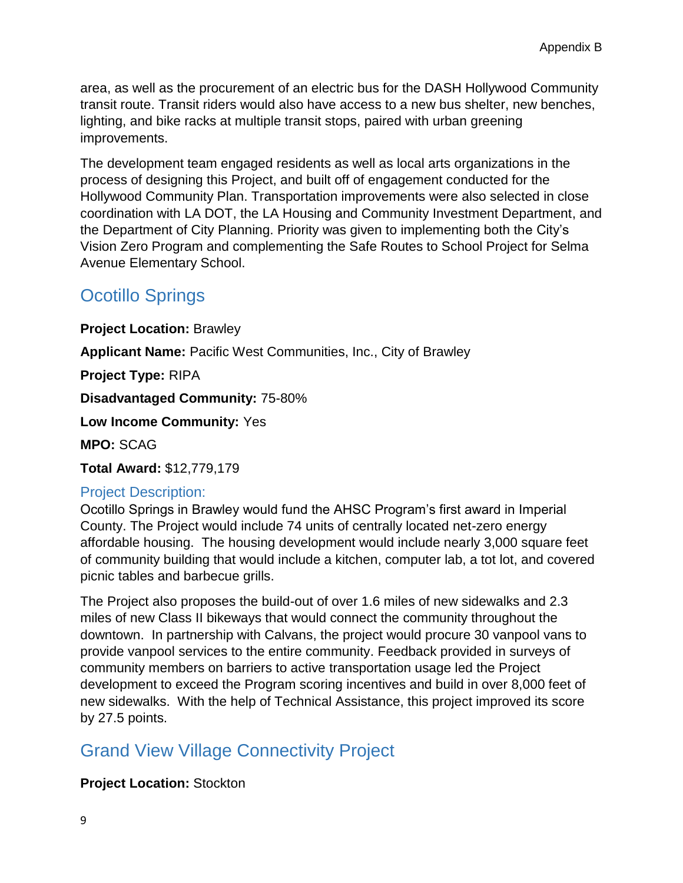area, as well as the procurement of an electric bus for the DASH Hollywood Community transit route. Transit riders would also have access to a new bus shelter, new benches, lighting, and bike racks at multiple transit stops, paired with urban greening improvements.

The development team engaged residents as well as local arts organizations in the process of designing this Project, and built off of engagement conducted for the Hollywood Community Plan. Transportation improvements were also selected in close coordination with LA DOT, the LA Housing and Community Investment Department, and the Department of City Planning. Priority was given to implementing both the City's Vision Zero Program and complementing the Safe Routes to School Project for Selma Avenue Elementary School.

# Ocotillo Springs

**Project Location:** Brawley

**Applicant Name:** Pacific West Communities, Inc., City of Brawley

**Project Type:** RIPA

**Disadvantaged Community:** 75-80%

**Low Income Community:** Yes

**MPO:** SCAG

**Total Award:** \$12,779,179

### Project Description:

Ocotillo Springs in Brawley would fund the AHSC Program's first award in Imperial County. The Project would include 74 units of centrally located net-zero energy affordable housing. The housing development would include nearly 3,000 square feet of community building that would include a kitchen, computer lab, a tot lot, and covered picnic tables and barbecue grills.

The Project also proposes the build-out of over 1.6 miles of new sidewalks and 2.3 miles of new Class II bikeways that would connect the community throughout the downtown. In partnership with Calvans, the project would procure 30 vanpool vans to provide vanpool services to the entire community. Feedback provided in surveys of community members on barriers to active transportation usage led the Project development to exceed the Program scoring incentives and build in over 8,000 feet of new sidewalks. With the help of Technical Assistance, this project improved its score by 27.5 points.

# Grand View Village Connectivity Project

### **Project Location:** Stockton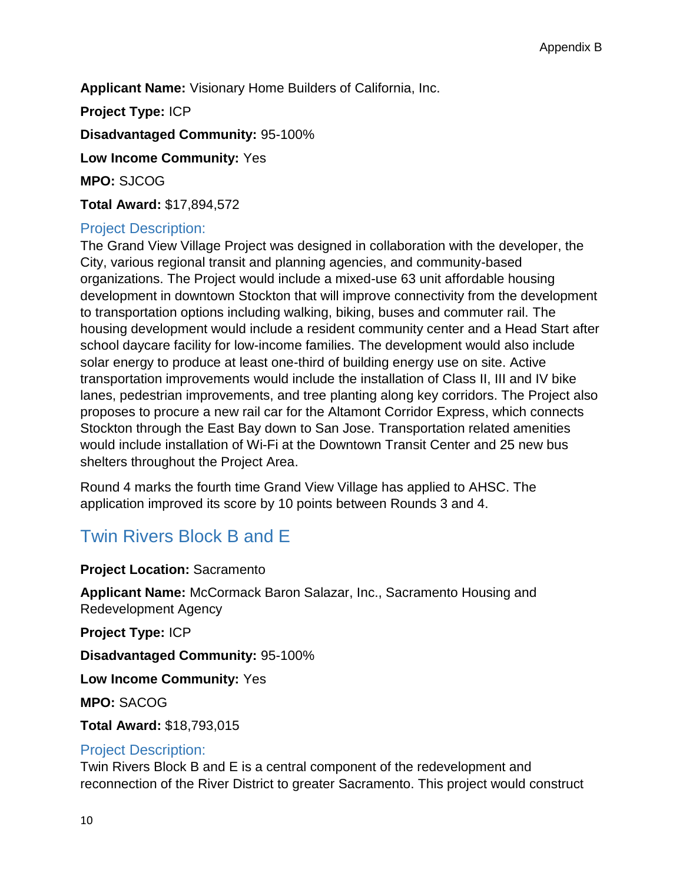**Applicant Name:** Visionary Home Builders of California, Inc.

**Project Type:** ICP

**Disadvantaged Community:** 95-100%

**Low Income Community:** Yes

**MPO:** SJCOG

**Total Award:** \$17,894,572

#### Project Description:

The Grand View Village Project was designed in collaboration with the developer, the City, various regional transit and planning agencies, and community-based organizations. The Project would include a mixed-use 63 unit affordable housing development in downtown Stockton that will improve connectivity from the development to transportation options including walking, biking, buses and commuter rail. The housing development would include a resident community center and a Head Start after school daycare facility for low-income families. The development would also include solar energy to produce at least one-third of building energy use on site. Active transportation improvements would include the installation of Class II, III and IV bike lanes, pedestrian improvements, and tree planting along key corridors. The Project also proposes to procure a new rail car for the Altamont Corridor Express, which connects Stockton through the East Bay down to San Jose. Transportation related amenities would include installation of Wi-Fi at the Downtown Transit Center and 25 new bus shelters throughout the Project Area.

Round 4 marks the fourth time Grand View Village has applied to AHSC. The application improved its score by 10 points between Rounds 3 and 4.

# Twin Rivers Block B and E

#### **Project Location:** Sacramento

**Applicant Name:** McCormack Baron Salazar, Inc., Sacramento Housing and Redevelopment Agency

**Project Type:** ICP

**Disadvantaged Community:** 95-100%

**Low Income Community:** Yes

**MPO:** SACOG

**Total Award:** \$18,793,015

#### Project Description:

Twin Rivers Block B and E is a central component of the redevelopment and reconnection of the River District to greater Sacramento. This project would construct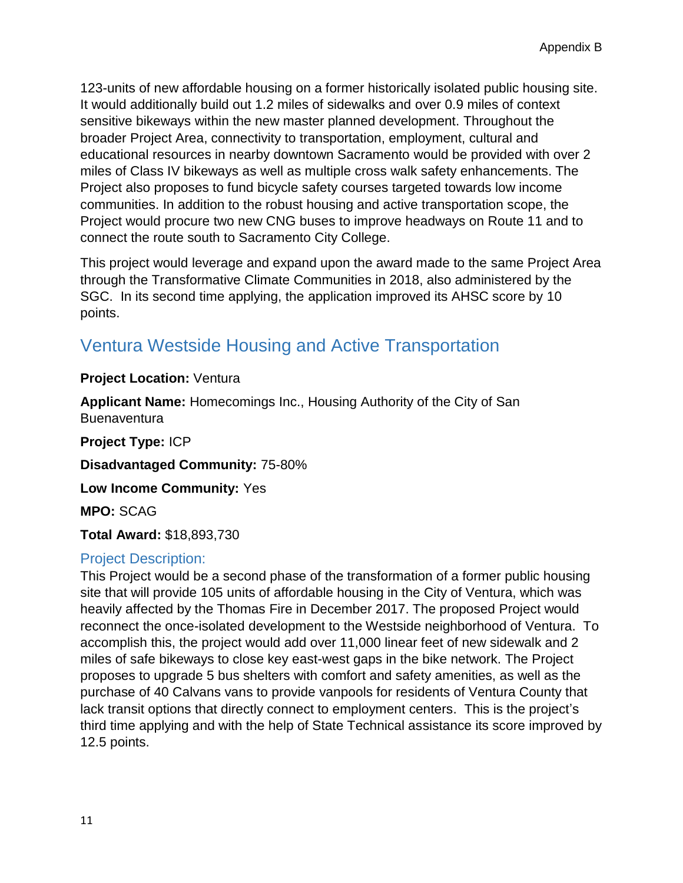123-units of new affordable housing on a former historically isolated public housing site. It would additionally build out 1.2 miles of sidewalks and over 0.9 miles of context sensitive bikeways within the new master planned development. Throughout the broader Project Area, connectivity to transportation, employment, cultural and educational resources in nearby downtown Sacramento would be provided with over 2 miles of Class IV bikeways as well as multiple cross walk safety enhancements. The Project also proposes to fund bicycle safety courses targeted towards low income communities. In addition to the robust housing and active transportation scope, the Project would procure two new CNG buses to improve headways on Route 11 and to connect the route south to Sacramento City College.

This project would leverage and expand upon the award made to the same Project Area through the Transformative Climate Communities in 2018, also administered by the SGC. In its second time applying, the application improved its AHSC score by 10 points.

# Ventura Westside Housing and Active Transportation

#### **Project Location:** Ventura

**Applicant Name:** Homecomings Inc., Housing Authority of the City of San **Buenaventura** 

**Project Type:** ICP **Disadvantaged Community:** 75-80% **Low Income Community:** Yes **MPO:** SCAG

**Total Award:** \$18,893,730

### Project Description:

This Project would be a second phase of the transformation of a former public housing site that will provide 105 units of affordable housing in the City of Ventura, which was heavily affected by the Thomas Fire in December 2017. The proposed Project would reconnect the once-isolated development to the Westside neighborhood of Ventura. To accomplish this, the project would add over 11,000 linear feet of new sidewalk and 2 miles of safe bikeways to close key east-west gaps in the bike network. The Project proposes to upgrade 5 bus shelters with comfort and safety amenities, as well as the purchase of 40 Calvans vans to provide vanpools for residents of Ventura County that lack transit options that directly connect to employment centers. This is the project's third time applying and with the help of State Technical assistance its score improved by 12.5 points.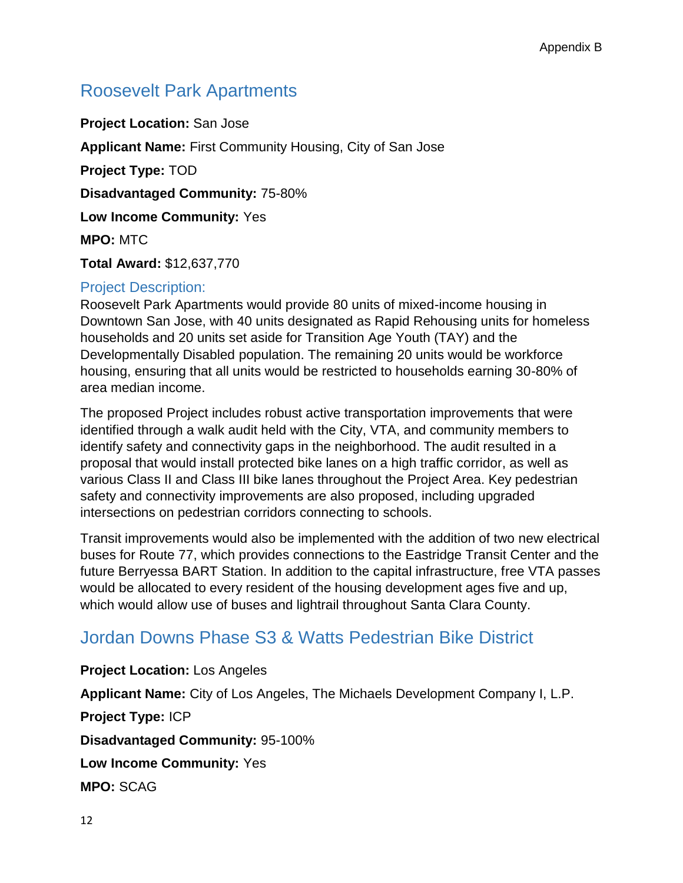# Roosevelt Park Apartments

**Project Location:** San Jose **Applicant Name:** First Community Housing, City of San Jose **Project Type:** TOD **Disadvantaged Community:** 75-80% **Low Income Community:** Yes **MPO:** MTC **Total Award:** \$12,637,770

#### Project Description:

Roosevelt Park Apartments would provide 80 units of mixed-income housing in Downtown San Jose, with 40 units designated as Rapid Rehousing units for homeless households and 20 units set aside for Transition Age Youth (TAY) and the Developmentally Disabled population. The remaining 20 units would be workforce housing, ensuring that all units would be restricted to households earning 30-80% of area median income.

The proposed Project includes robust active transportation improvements that were identified through a walk audit held with the City, VTA, and community members to identify safety and connectivity gaps in the neighborhood. The audit resulted in a proposal that would install protected bike lanes on a high traffic corridor, as well as various Class II and Class III bike lanes throughout the Project Area. Key pedestrian safety and connectivity improvements are also proposed, including upgraded intersections on pedestrian corridors connecting to schools.

Transit improvements would also be implemented with the addition of two new electrical buses for Route 77, which provides connections to the Eastridge Transit Center and the future Berryessa BART Station. In addition to the capital infrastructure, free VTA passes would be allocated to every resident of the housing development ages five and up, which would allow use of buses and lightrail throughout Santa Clara County.

### Jordan Downs Phase S3 & Watts Pedestrian Bike District

**Project Location:** Los Angeles **Applicant Name:** City of Los Angeles, The Michaels Development Company I, L.P. **Project Type:** ICP **Disadvantaged Community:** 95-100% **Low Income Community:** Yes **MPO:** SCAG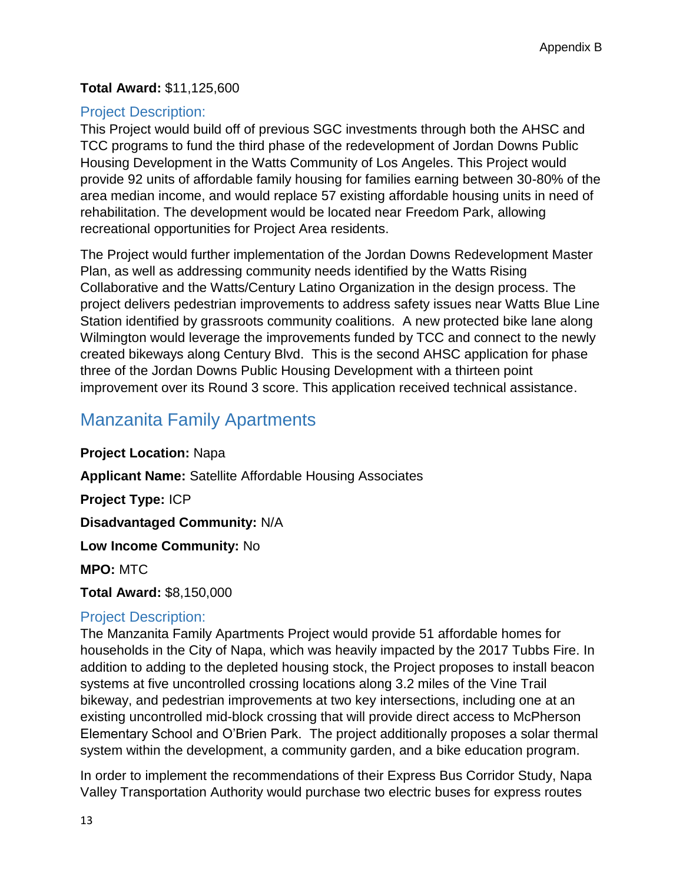#### **Total Award:** \$11,125,600

#### Project Description:

This Project would build off of previous SGC investments through both the AHSC and TCC programs to fund the third phase of the redevelopment of Jordan Downs Public Housing Development in the Watts Community of Los Angeles. This Project would provide 92 units of affordable family housing for families earning between 30-80% of the area median income, and would replace 57 existing affordable housing units in need of rehabilitation. The development would be located near Freedom Park, allowing recreational opportunities for Project Area residents.

The Project would further implementation of the Jordan Downs Redevelopment Master Plan, as well as addressing community needs identified by the Watts Rising Collaborative and the Watts/Century Latino Organization in the design process. The project delivers pedestrian improvements to address safety issues near Watts Blue Line Station identified by grassroots community coalitions. A new protected bike lane along Wilmington would leverage the improvements funded by TCC and connect to the newly created bikeways along Century Blvd. This is the second AHSC application for phase three of the Jordan Downs Public Housing Development with a thirteen point improvement over its Round 3 score. This application received technical assistance.

# Manzanita Family Apartments

**Project Location:** Napa

**Applicant Name:** Satellite Affordable Housing Associates

**Project Type:** ICP

**Disadvantaged Community:** N/A

**Low Income Community:** No

**MPO:** MTC

**Total Award:** \$8,150,000

#### Project Description:

The Manzanita Family Apartments Project would provide 51 affordable homes for households in the City of Napa, which was heavily impacted by the 2017 Tubbs Fire. In addition to adding to the depleted housing stock, the Project proposes to install beacon systems at five uncontrolled crossing locations along 3.2 miles of the Vine Trail bikeway, and pedestrian improvements at two key intersections, including one at an existing uncontrolled mid-block crossing that will provide direct access to McPherson Elementary School and O'Brien Park. The project additionally proposes a solar thermal system within the development, a community garden, and a bike education program.

In order to implement the recommendations of their Express Bus Corridor Study, Napa Valley Transportation Authority would purchase two electric buses for express routes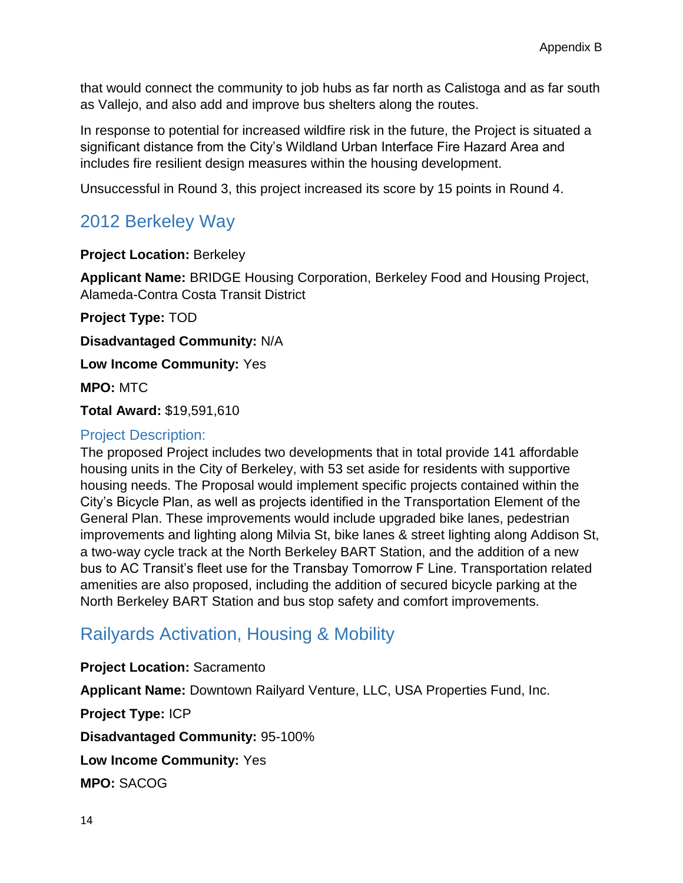that would connect the community to job hubs as far north as Calistoga and as far south as Vallejo, and also add and improve bus shelters along the routes.

In response to potential for increased wildfire risk in the future, the Project is situated a significant distance from the City's Wildland Urban Interface Fire Hazard Area and includes fire resilient design measures within the housing development.

Unsuccessful in Round 3, this project increased its score by 15 points in Round 4.

# 2012 Berkeley Way

#### **Project Location:** Berkeley

**Applicant Name:** BRIDGE Housing Corporation, Berkeley Food and Housing Project, Alameda-Contra Costa Transit District

**Project Type:** TOD

**Disadvantaged Community:** N/A

**Low Income Community:** Yes

**MPO:** MTC

**Total Award:** \$19,591,610

#### Project Description:

The proposed Project includes two developments that in total provide 141 affordable housing units in the City of Berkeley, with 53 set aside for residents with supportive housing needs. The Proposal would implement specific projects contained within the City's Bicycle Plan, as well as projects identified in the Transportation Element of the General Plan. These improvements would include upgraded bike lanes, pedestrian improvements and lighting along Milvia St, bike lanes & street lighting along Addison St, a two-way cycle track at the North Berkeley BART Station, and the addition of a new bus to AC Transit's fleet use for the Transbay Tomorrow F Line. Transportation related amenities are also proposed, including the addition of secured bicycle parking at the North Berkeley BART Station and bus stop safety and comfort improvements.

# Railyards Activation, Housing & Mobility

**Project Location:** Sacramento **Applicant Name:** Downtown Railyard Venture, LLC, USA Properties Fund, Inc. **Project Type:** ICP **Disadvantaged Community:** 95-100% **Low Income Community:** Yes **MPO:** SACOG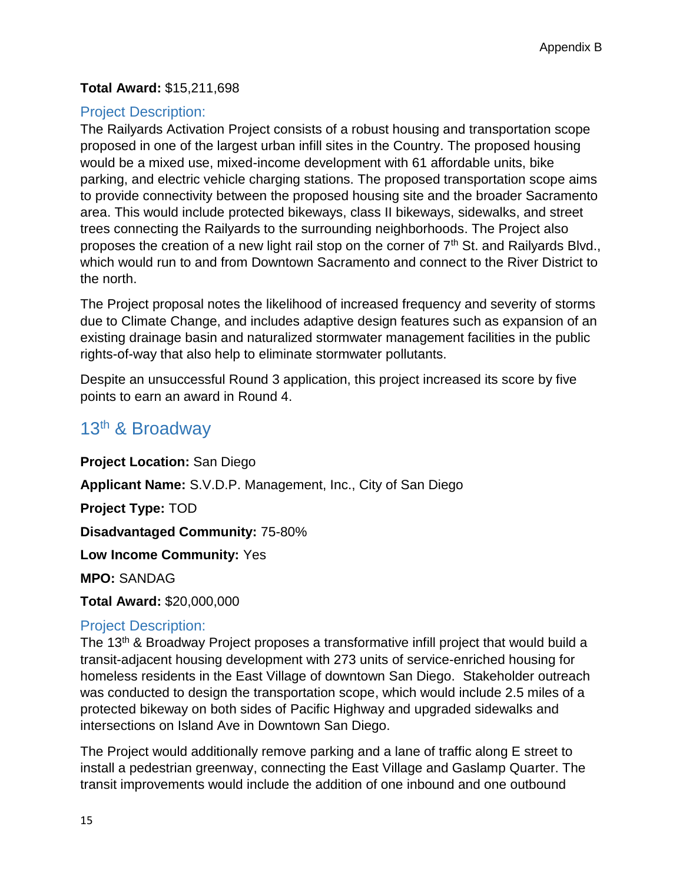#### **Total Award:** \$15,211,698

### Project Description:

The Railyards Activation Project consists of a robust housing and transportation scope proposed in one of the largest urban infill sites in the Country. The proposed housing would be a mixed use, mixed-income development with 61 affordable units, bike parking, and electric vehicle charging stations. The proposed transportation scope aims to provide connectivity between the proposed housing site and the broader Sacramento area. This would include protected bikeways, class II bikeways, sidewalks, and street trees connecting the Railyards to the surrounding neighborhoods. The Project also proposes the creation of a new light rail stop on the corner of 7<sup>th</sup> St. and Railyards Blvd., which would run to and from Downtown Sacramento and connect to the River District to the north.

The Project proposal notes the likelihood of increased frequency and severity of storms due to Climate Change, and includes adaptive design features such as expansion of an existing drainage basin and naturalized stormwater management facilities in the public rights-of-way that also help to eliminate stormwater pollutants.

Despite an unsuccessful Round 3 application, this project increased its score by five points to earn an award in Round 4.

### 13th & Broadway

**Project Location:** San Diego **Applicant Name:** S.V.D.P. Management, Inc., City of San Diego **Project Type:** TOD **Disadvantaged Community:** 75-80% **Low Income Community:** Yes **MPO:** SANDAG **Total Award:** \$20,000,000

### Project Description:

The 13<sup>th</sup> & Broadway Project proposes a transformative infill project that would build a transit-adjacent housing development with 273 units of service-enriched housing for homeless residents in the East Village of downtown San Diego. Stakeholder outreach was conducted to design the transportation scope, which would include 2.5 miles of a protected bikeway on both sides of Pacific Highway and upgraded sidewalks and intersections on Island Ave in Downtown San Diego.

The Project would additionally remove parking and a lane of traffic along E street to install a pedestrian greenway, connecting the East Village and Gaslamp Quarter. The transit improvements would include the addition of one inbound and one outbound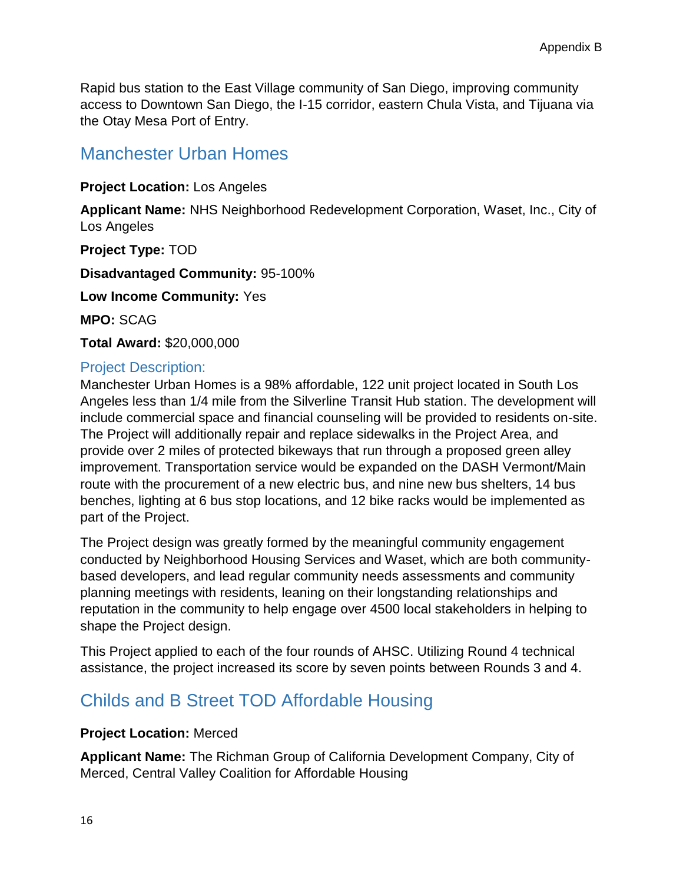Rapid bus station to the East Village community of San Diego, improving community access to Downtown San Diego, the I-15 corridor, eastern Chula Vista, and Tijuana via the Otay Mesa Port of Entry.

### Manchester Urban Homes

**Project Location:** Los Angeles

**Applicant Name:** NHS Neighborhood Redevelopment Corporation, Waset, Inc., City of Los Angeles

**Project Type:** TOD **Disadvantaged Community:** 95-100% **Low Income Community:** Yes **MPO:** SCAG **Total Award:** \$20,000,000

### Project Description:

Manchester Urban Homes is a 98% affordable, 122 unit project located in South Los Angeles less than 1/4 mile from the Silverline Transit Hub station. The development will include commercial space and financial counseling will be provided to residents on-site. The Project will additionally repair and replace sidewalks in the Project Area, and provide over 2 miles of protected bikeways that run through a proposed green alley improvement. Transportation service would be expanded on the DASH Vermont/Main route with the procurement of a new electric bus, and nine new bus shelters, 14 bus benches, lighting at 6 bus stop locations, and 12 bike racks would be implemented as part of the Project.

The Project design was greatly formed by the meaningful community engagement conducted by Neighborhood Housing Services and Waset, which are both communitybased developers, and lead regular community needs assessments and community planning meetings with residents, leaning on their longstanding relationships and reputation in the community to help engage over 4500 local stakeholders in helping to shape the Project design.

This Project applied to each of the four rounds of AHSC. Utilizing Round 4 technical assistance, the project increased its score by seven points between Rounds 3 and 4.

# Childs and B Street TOD Affordable Housing

#### **Project Location:** Merced

**Applicant Name:** The Richman Group of California Development Company, City of Merced, Central Valley Coalition for Affordable Housing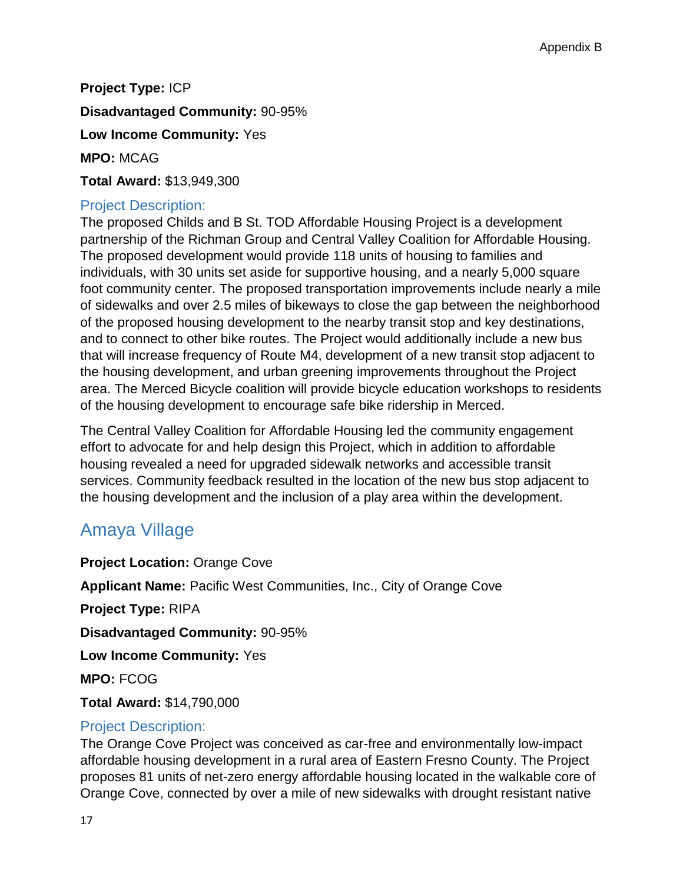**Project Type:** ICP

**Disadvantaged Community:** 90-95%

**Low Income Community:** Yes

**MPO:** MCAG

**Total Award:** \$13,949,300

#### Project Description:

The proposed Childs and B St. TOD Affordable Housing Project is a development partnership of the Richman Group and Central Valley Coalition for Affordable Housing. The proposed development would provide 118 units of housing to families and individuals, with 30 units set aside for supportive housing, and a nearly 5,000 square foot community center. The proposed transportation improvements include nearly a mile of sidewalks and over 2.5 miles of bikeways to close the gap between the neighborhood of the proposed housing development to the nearby transit stop and key destinations, and to connect to other bike routes. The Project would additionally include a new bus that will increase frequency of Route M4, development of a new transit stop adjacent to the housing development, and urban greening improvements throughout the Project area. The Merced Bicycle coalition will provide bicycle education workshops to residents of the housing development to encourage safe bike ridership in Merced.

The Central Valley Coalition for Affordable Housing led the community engagement effort to advocate for and help design this Project, which in addition to affordable housing revealed a need for upgraded sidewalk networks and accessible transit services. Community feedback resulted in the location of the new bus stop adjacent to the housing development and the inclusion of a play area within the development.

# Amaya Village

**Project Location:** Orange Cove **Applicant Name:** Pacific West Communities, Inc., City of Orange Cove **Project Type:** RIPA **Disadvantaged Community:** 90-95% **Low Income Community:** Yes **MPO:** FCOG **Total Award:** \$14,790,000

### Project Description:

The Orange Cove Project was conceived as car-free and environmentally low-impact affordable housing development in a rural area of Eastern Fresno County. The Project proposes 81 units of net-zero energy affordable housing located in the walkable core of Orange Cove, connected by over a mile of new sidewalks with drought resistant native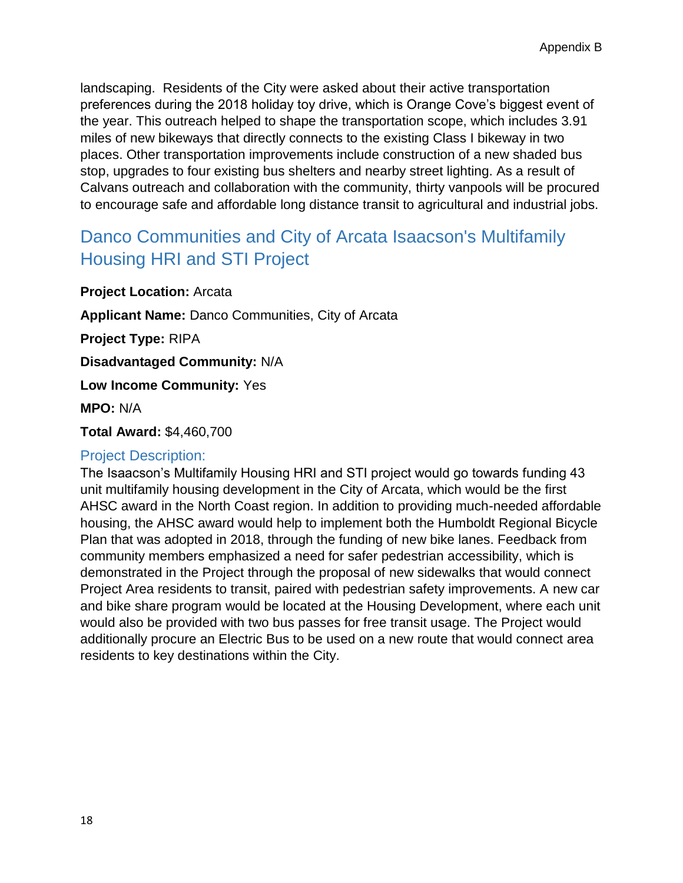landscaping. Residents of the City were asked about their active transportation preferences during the 2018 holiday toy drive, which is Orange Cove's biggest event of the year. This outreach helped to shape the transportation scope, which includes 3.91 miles of new bikeways that directly connects to the existing Class I bikeway in two places. Other transportation improvements include construction of a new shaded bus stop, upgrades to four existing bus shelters and nearby street lighting. As a result of Calvans outreach and collaboration with the community, thirty vanpools will be procured to encourage safe and affordable long distance transit to agricultural and industrial jobs.

# Danco Communities and City of Arcata Isaacson's Multifamily Housing HRI and STI Project

**Project Location:** Arcata

**Applicant Name:** Danco Communities, City of Arcata

**Project Type:** RIPA

**Disadvantaged Community:** N/A

**Low Income Community:** Yes

**MPO:** N/A

**Total Award:** \$4,460,700

#### Project Description:

The Isaacson's Multifamily Housing HRI and STI project would go towards funding 43 unit multifamily housing development in the City of Arcata, which would be the first AHSC award in the North Coast region. In addition to providing much-needed affordable housing, the AHSC award would help to implement both the Humboldt Regional Bicycle Plan that was adopted in 2018, through the funding of new bike lanes. Feedback from community members emphasized a need for safer pedestrian accessibility, which is demonstrated in the Project through the proposal of new sidewalks that would connect Project Area residents to transit, paired with pedestrian safety improvements. A new car and bike share program would be located at the Housing Development, where each unit would also be provided with two bus passes for free transit usage. The Project would additionally procure an Electric Bus to be used on a new route that would connect area residents to key destinations within the City.